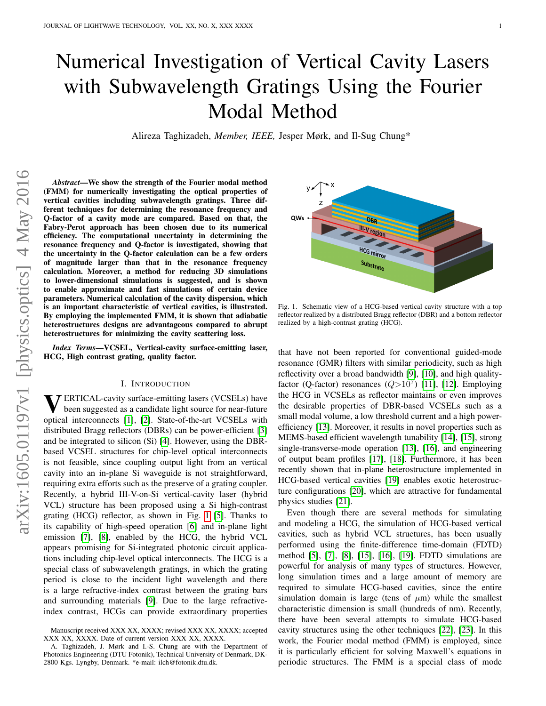# Numerical Investigation of Vertical Cavity Lasers with Subwavelength Gratings Using the Fourier Modal Method

Alireza Taghizadeh, *Member, IEEE,* Jesper Mørk, and Il-Sug Chung\*

*Abstract*—We show the strength of the Fourier modal method (FMM) for numerically investigating the optical properties of vertical cavities including subwavelength gratings. Three different techniques for determining the resonance frequency and Q-factor of a cavity mode are compared. Based on that, the Fabry-Perot approach has been chosen due to its numerical efficiency. The computational uncertainty in determining the resonance frequency and Q-factor is investigated, showing that the uncertainty in the Q-factor calculation can be a few orders of magnitude larger than that in the resonance frequency magnitude larger than that in the resonance frequency calculation. Moreover, a method for reducing 3D simulations to lower-dimensional simulations is suggested, and is shown to enable approximate and fast simulations of certain device parameters. Numerical calculation of the cavity dispersion, which is an important characteristic of vertical cavities, is illustrated. By employing the implemented FMM, it is shown that adiabatic heterostructures designs are advantageous compared to abrupt heterostructures for minimizing the cavity scattering loss.

*Index Terms*—VCSEL, Vertical-cavity surface-emitting laser, HCG, High contrast grating, quality factor.

## I. INTRODUCTION

**VERTICAL-cavity surface-emitting lasers (VCSELs) have**<br>been suggested as a candidate light source for near-future been suggested as a candidate light source for near-future optical interconnects [\[1\]](#page-9-0), [\[2\]](#page-9-1). State-of-the-art VCSELs with distributed Bragg reflectors (DBRs) can be power-efficient [\[3\]](#page-9-2) and be integrated to silicon (Si) [\[4\]](#page-9-3). However, using the DBRbased VCSEL structures for chip-level optical interconnects is not feasible, since coupling output light from an vertical cavity into an in-plane Si waveguide is not straightforward, requiring extra efforts such as the preserve of a grating coupler. Recently, a hybrid III-V-on-Si vertical-cavity laser (hybrid VCL) structure has been proposed using a Si high-contrast grating (HCG) reflector, as shown in Fig. [1](#page-0-0) [\[5\]](#page-9-4). Thanks to its capability of high-speed operation [\[6\]](#page-9-5) and in-plane light emission [\[7\]](#page-9-6), [\[8\]](#page-9-7), enabled by the HCG, the hybrid VCL appears promising for Si-integrated photonic circuit applications including chip-level optical interconnects. The HCG is a special class of subwavelength gratings, in which the grating period is close to the incident light wavelength and there is a large refractive-index contrast between the grating bars and surrounding materials [\[9\]](#page-9-8). Due to the large refractiveindex contrast, HCGs can provide extraordinary properties



<span id="page-0-0"></span>Fig. 1. Schematic view of a HCG-based vertical cavity structure with a top reflector realized by a distributed Bragg reflector (DBR) and a bottom reflector realized by a high-contrast grating (HCG).

that have not been reported for conventional guided-mode resonance (GMR) filters with similar periodicity, such as high reflectivity over a broad bandwidth [\[9\]](#page-9-8), [\[10\]](#page-9-9), and high qualityfactor (Q-factor) resonances  $(Q>10^7)$  [\[11\]](#page-9-10), [\[12\]](#page-9-11). Employing the HCG in VCSELs as reflector maintains or even improves the desirable properties of DBR-based VCSELs such as a small modal volume, a low threshold current and a high powerefficiency [\[13\]](#page-9-12). Moreover, it results in novel properties such as MEMS-based efficient wavelength tunability [\[14\]](#page-9-13), [\[15\]](#page-9-14), strong single-transverse-mode operation [\[13\]](#page-9-12), [\[16\]](#page-9-15), and engineering of output beam profiles [\[17\]](#page-9-16), [\[18\]](#page-9-17). Furthermore, it has been recently shown that in-plane heterostructure implemented in HCG-based vertical cavities [\[19\]](#page-9-18) enables exotic heterostructure configurations [\[20\]](#page-9-19), which are attractive for fundamental physics studies [\[21\]](#page-9-20).

Even though there are several methods for simulating and modeling a HCG, the simulation of HCG-based vertical cavities, such as hybrid VCL structures, has been usually performed using the finite-difference time-domain (FDTD) method [\[5\]](#page-9-4), [\[7\]](#page-9-6), [\[8\]](#page-9-7), [\[15\]](#page-9-14), [\[16\]](#page-9-15), [\[19\]](#page-9-18). FDTD simulations are powerful for analysis of many types of structures. However, long simulation times and a large amount of memory are required to simulate HCG-based cavities, since the entire simulation domain is large (tens of  $\mu$ m) while the smallest characteristic dimension is small (hundreds of nm). Recently, there have been several attempts to simulate HCG-based cavity structures using the other techniques [\[22\]](#page-9-21), [\[23\]](#page-9-22). In this work, the Fourier modal method (FMM) is employed, since it is particularly efficient for solving Maxwell's equations in periodic structures. The FMM is a special class of mode

Manuscript received XXX XX, XXXX; revised XXX XX, XXXX; accepted XXX XX, XXXX. Date of current version XXX XX, XXXX.

A. Taghizadeh, J. Mørk and I.-S. Chung are with the Department of Photonics Engineering (DTU Fotonik), Technical University of Denmark, DK-2800 Kgs. Lyngby, Denmark. \*e-mail: ilch@fotonik.dtu.dk.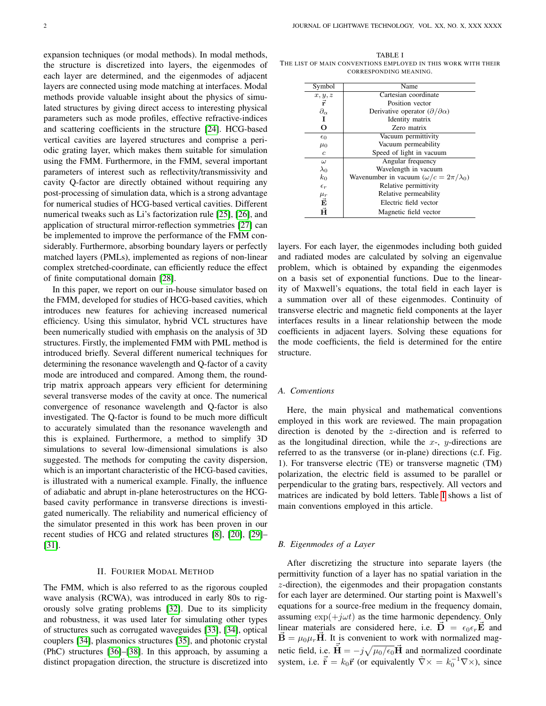expansion techniques (or modal methods). In modal methods, the structure is discretized into layers, the eigenmodes of each layer are determined, and the eigenmodes of adjacent layers are connected using mode matching at interfaces. Modal methods provide valuable insight about the physics of simulated structures by giving direct access to interesting physical parameters such as mode profiles, effective refractive-indices and scattering coefficients in the structure [\[24\]](#page-9-23). HCG-based vertical cavities are layered structures and comprise a periodic grating layer, which makes them suitable for simulation using the FMM. Furthermore, in the FMM, several important parameters of interest such as reflectivity/transmissivity and cavity Q-factor are directly obtained without requiring any post-processing of simulation data, which is a strong advantage for numerical studies of HCG-based vertical cavities. Different numerical tweaks such as Li's factorization rule [\[25\]](#page-9-24), [\[26\]](#page-9-25), and application of structural mirror-reflection symmetries [\[27\]](#page-9-26) can be implemented to improve the performance of the FMM considerably. Furthermore, absorbing boundary layers or perfectly matched layers (PMLs), implemented as regions of non-linear complex stretched-coordinate, can efficiently reduce the effect of finite computational domain [\[28\]](#page-9-27).

In this paper, we report on our in-house simulator based on the FMM, developed for studies of HCG-based cavities, which introduces new features for achieving increased numerical efficiency. Using this simulator, hybrid VCL structures have been numerically studied with emphasis on the analysis of 3D structures. Firstly, the implemented FMM with PML method is introduced briefly. Several different numerical techniques for determining the resonance wavelength and Q-factor of a cavity mode are introduced and compared. Among them, the roundtrip matrix approach appears very efficient for determining several transverse modes of the cavity at once. The numerical convergence of resonance wavelength and Q-factor is also investigated. The Q-factor is found to be much more difficult to accurately simulated than the resonance wavelength and this is explained. Furthermore, a method to simplify 3D simulations to several low-dimensional simulations is also suggested. The methods for computing the cavity dispersion, which is an important characteristic of the HCG-based cavities, is illustrated with a numerical example. Finally, the influence of adiabatic and abrupt in-plane heterostructures on the HCGbased cavity performance in transverse directions is investigated numerically. The reliability and numerical efficiency of the simulator presented in this work has been proven in our recent studies of HCG and related structures [\[8\]](#page-9-7), [\[20\]](#page-9-19), [\[29\]](#page-9-28)– [\[31\]](#page-9-29).

#### II. FOURIER MODAL METHOD

The FMM, which is also referred to as the rigorous coupled wave analysis (RCWA), was introduced in early 80s to rigorously solve grating problems [\[32\]](#page-9-30). Due to its simplicity and robustness, it was used later for simulating other types of structures such as corrugated waveguides [\[33\]](#page-9-31), [\[34\]](#page-9-32), optical couplers [\[34\]](#page-9-32), plasmonics structures [\[35\]](#page-9-33), and photonic crystal (PhC) structures [\[36\]](#page-9-34)–[\[38\]](#page-9-35). In this approach, by assuming a distinct propagation direction, the structure is discretized into

<span id="page-1-0"></span>TABLE I THE LIST OF MAIN CONVENTIONS EMPLOYED IN THIS WORK WITH THEIR CORRESPONDING MEANING.

| Symbol                     | Name                                               |  |  |
|----------------------------|----------------------------------------------------|--|--|
| x, y, z                    | Cartesian coordinate                               |  |  |
| ř                          | Position vector                                    |  |  |
| $\partial_{\alpha}$        | Derivative operator $(\partial/\partial \alpha)$   |  |  |
| Ι                          | Identity matrix                                    |  |  |
| O                          | Zero matrix                                        |  |  |
| $\epsilon_0$               | Vacuum permittivity                                |  |  |
| $\mu_0$                    | Vacuum permeability                                |  |  |
| $\boldsymbol{c}$           | Speed of light in vacuum                           |  |  |
| $\omega$                   | Angular frequency                                  |  |  |
| $\lambda_0$                | Wavelength in vacuum                               |  |  |
| $k_0$                      | Wavenumber in vacuum $(\omega/c = 2\pi/\lambda_0)$ |  |  |
| $\epsilon_r$               | Relative permittivity                              |  |  |
|                            | Relative permeability                              |  |  |
| $\mu_r$ $\vec{\mathbf{E}}$ | Electric field vector                              |  |  |
| Ĥ                          | Magnetic field vector                              |  |  |

layers. For each layer, the eigenmodes including both guided and radiated modes are calculated by solving an eigenvalue problem, which is obtained by expanding the eigenmodes on a basis set of exponential functions. Due to the linearity of Maxwell's equations, the total field in each layer is a summation over all of these eigenmodes. Continuity of transverse electric and magnetic field components at the layer interfaces results in a linear relationship between the mode coefficients in adjacent layers. Solving these equations for the mode coefficients, the field is determined for the entire structure.

# *A. Conventions*

Here, the main physical and mathematical conventions employed in this work are reviewed. The main propagation direction is denoted by the z-direction and is referred to as the longitudinal direction, while the  $x$ -, y-directions are referred to as the transverse (or in-plane) directions (c.f. Fig. 1). For transverse electric (TE) or transverse magnetic (TM) polarization, the electric field is assumed to be parallel or perpendicular to the grating bars, respectively. All vectors and matrices are indicated by bold letters. Table [I](#page-1-0) shows a list of main conventions employed in this article.

# *B. Eigenmodes of a Layer*

After discretizing the structure into separate layers (the permittivity function of a layer has no spatial variation in the z-direction), the eigenmodes and their propagation constants for each layer are determined. Our starting point is Maxwell's equations for a source-free medium in the frequency domain, assuming  $\exp(+j\omega t)$  as the time harmonic dependency. Only linear materials are considered here, i.e.  $\vec{\mathbf{D}} = \epsilon_0 \epsilon_r \vec{\mathbf{E}}$  and  $\vec{\mathbf{B}} = \mu_0 \mu_r \vec{\mathbf{H}}$ . It is convenient to work with normalized magnetic field, i.e.  $\vec{\mathbf{H}} = -j\sqrt{\mu_0/\epsilon_0}\vec{\mathbf{H}}$  and normalized coordinate system, i.e.  $\vec{\mathbf{r}} = k_0 \vec{\mathbf{r}}$  (or equivalently  $\tilde{\nabla} \times = k_0^{-1} \nabla \times$ ), since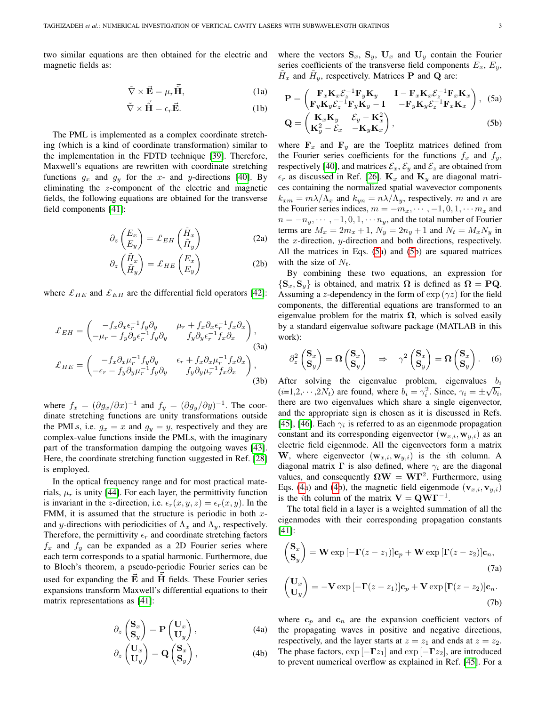two similar equations are then obtained for the electric and magnetic fields as:

$$
\tilde{\nabla} \times \vec{\mathbf{E}} = \mu_r \tilde{\vec{\mathbf{H}}}, \tag{1a}
$$

$$
\tilde{\nabla} \times \vec{\tilde{H}} = \epsilon_r \vec{E}.
$$
 (1b)

The PML is implemented as a complex coordinate stretching (which is a kind of coordinate transformation) similar to the implementation in the FDTD technique [\[39\]](#page-10-0). Therefore, Maxwell's equations are rewritten with coordinate stretching functions  $g_x$  and  $g_y$  for the x- and y-directions [\[40\]](#page-10-1). By eliminating the z-component of the electric and magnetic fields, the following equations are obtained for the transverse field components [\[41\]](#page-10-2):

$$
\partial_z \begin{pmatrix} E_x \\ E_y \end{pmatrix} = \mathcal{L}_{EH} \begin{pmatrix} \tilde{H}_x \\ \tilde{H}_y \end{pmatrix}
$$
 (2a)

$$
\partial_z \begin{pmatrix} \tilde{H}_x \\ \tilde{H}_y \end{pmatrix} = \mathcal{L}_{HE} \begin{pmatrix} E_x \\ E_y \end{pmatrix}
$$
 (2b)

where  $\mathcal{L}_{HE}$  and  $\mathcal{L}_{EH}$  are the differential field operators [\[42\]](#page-10-3):

$$
\mathcal{L}_{EH} = \begin{pmatrix} -f_x \partial_x \epsilon_r^{-1} f_y \partial_y & \mu_r + f_x \partial_x \epsilon_r^{-1} f_x \partial_x \\ -\mu_r - f_y \partial_y \epsilon_r^{-1} f_y \partial_y & f_y \partial_y \epsilon_r^{-1} f_x \partial_x \end{pmatrix},
$$
\n(3a)\n
$$
\mathcal{L}_{HE} = \begin{pmatrix} -f_x \partial_x \mu_r^{-1} f_y \partial_y & \epsilon_r + f_x \partial_x \mu_r^{-1} f_x \partial_x \\ -\epsilon_r - f_y \partial_y \mu_r^{-1} f_y \partial_y & f_y \partial_y \mu_r^{-1} f_x \partial_x \end{pmatrix},
$$
\n(3b)

where  $f_x = (\partial g_x/\partial x)^{-1}$  and  $f_y = (\partial g_y/\partial y)^{-1}$ . The coordinate stretching functions are unity transformations outside the PMLs, i.e.  $g_x = x$  and  $g_y = y$ , respectively and they are complex-value functions inside the PMLs, with the imaginary part of the transformation damping the outgoing waves [\[43\]](#page-10-4). Here, the coordinate stretching function suggested in Ref. [\[28\]](#page-9-27) is employed.

In the optical frequency range and for most practical materials,  $\mu_r$  is unity [\[44\]](#page-10-5). For each layer, the permittivity function is invariant in the z-direction, i.e.  $\epsilon_r(x, y, z) = \epsilon_r(x, y)$ . In the FMM, it is assumed that the structure is periodic in both  $x$ and y-directions with periodicities of  $\Lambda_x$  and  $\Lambda_y$ , respectively. Therefore, the permittivity  $\epsilon_r$  and coordinate stretching factors  $f_x$  and  $f_y$  can be expanded as a 2D Fourier series where each term corresponds to a spatial harmonic. Furthermore, due to Bloch's theorem, a pseudo-periodic Fourier series can be used for expanding the  $\vec{E}$  and  $\vec{H}$  fields. These Fourier series expansions transform Maxwell's differential equations to their matrix representations as [\[41\]](#page-10-2):

<span id="page-2-1"></span>
$$
\partial_z \begin{pmatrix} \mathbf{S}_x \\ \mathbf{S}_y \end{pmatrix} = \mathbf{P} \begin{pmatrix} \mathbf{U}_x \\ \mathbf{U}_y \end{pmatrix}, \tag{4a}
$$

$$
\partial_z \begin{pmatrix} \mathbf{U}_x \\ \mathbf{U}_y \end{pmatrix} = \mathbf{Q} \begin{pmatrix} \mathbf{S}_x \\ \mathbf{S}_y \end{pmatrix}, \tag{4b}
$$

where the vectors  $S_x$ ,  $S_y$ ,  $U_x$  and  $U_y$  contain the Fourier series coefficients of the transverse field components  $E_x, E_y,$  $\tilde{H}_x$  and  $\tilde{H}_y$ , respectively. Matrices **P** and **Q** are:

<span id="page-2-0"></span>
$$
\mathbf{P} = \begin{pmatrix} \mathbf{F}_x \mathbf{K}_x \mathcal{E}_z^{-1} \mathbf{F}_y \mathbf{K}_y & \mathbf{I} - \mathbf{F}_x \mathbf{K}_x \mathcal{E}_z^{-1} \mathbf{F}_x \mathbf{K}_x \\ \mathbf{F}_y \mathbf{K}_y \mathcal{E}_z^{-1} \mathbf{F}_y \mathbf{K}_y - \mathbf{I} & -\mathbf{F}_y \mathbf{K}_y \mathcal{E}_z^{-1} \mathbf{F}_x \mathbf{K}_x \end{pmatrix}, \quad (5a)
$$

$$
\mathbf{Q} = \begin{pmatrix} \mathbf{K}_x \mathbf{K}_y & \mathcal{E}_y - \mathbf{K}_x^2 \\ \mathbf{K}_y^2 - \mathcal{E}_x & -\mathbf{K}_y \mathbf{K}_x \end{pmatrix}, \quad (5b)
$$

where  $\mathbf{F}_x$  and  $\mathbf{F}_y$  are the Toeplitz matrices defined from the Fourier series coefficients for the functions  $f_x$  and  $f_y$ , respectively [\[40\]](#page-10-1), and matrices  $\mathcal{E}_x$ ,  $\mathcal{E}_y$  and  $\mathcal{E}_z$  are obtained from  $\epsilon_r$  as discussed in Ref. [\[26\]](#page-9-25).  $\mathbf{K}_x$  and  $\mathbf{K}_y$  are diagonal matrices containing the normalized spatial wavevector components  $k_{xm} = m\lambda/\Lambda_x$  and  $k_{yn} = n\lambda/\Lambda_y$ , respectively. m and n are the Fourier series indices,  $m = -m_x, \dots, -1, 0, 1, \dots, m_x$  and  $n = -n_y, \dots, -1, 0, 1, \dots, n_y$ , and the total number of Fourier terms are  $M_x = 2m_x + 1$ ,  $N_y = 2n_y + 1$  and  $N_t = M_x N_y$  in the x-direction, y-direction and both directions, respectively. All the matrices in Eqs. [\(5a](#page-2-0)) and [\(5b](#page-2-0)) are squared matrices with the size of  $N_t$ .

By combining these two equations, an expression for  $\{S_x, S_y\}$  is obtained, and matrix  $\Omega$  is defined as  $\Omega = PQ$ . Assuming a z-dependency in the form of  $\exp(\gamma z)$  for the field components, the differential equations are transformed to an eigenvalue problem for the matrix  $\Omega$ , which is solved easily by a standard eigenvalue software package (MATLAB in this work):

$$
\partial_z^2 \begin{pmatrix} \mathbf{S}_x \\ \mathbf{S}_y \end{pmatrix} = \mathbf{\Omega} \begin{pmatrix} \mathbf{S}_x \\ \mathbf{S}_y \end{pmatrix} \Rightarrow \gamma^2 \begin{pmatrix} \mathbf{S}_x \\ \mathbf{S}_y \end{pmatrix} = \mathbf{\Omega} \begin{pmatrix} \mathbf{S}_x \\ \mathbf{S}_y \end{pmatrix}.
$$
 (6)

After solving the eigenvalue problem, eigenvalues  $b_i$  $(i=1,2,\dots,2N_t)$  are found, where  $b_i = \gamma_i^2$ . Since,  $\gamma_i = \pm \sqrt{b_i}$ , there are two eigenvalues which share a single eigenvector, and the appropriate sign is chosen as it is discussed in Refs. [\[45\]](#page-10-6), [\[46\]](#page-10-7). Each  $\gamma_i$  is referred to as an eigenmode propagation constant and its corresponding eigenvector  $(\mathbf{w}_{x,i}, \mathbf{w}_{y,i})$  as an electric field eigenmode. All the eigenvectors form a matrix W, where eigenvector  $(\mathbf{w}_{x,i}, \mathbf{w}_{y,i})$  is the *i*th column. A diagonal matrix  $\Gamma$  is also defined, where  $\gamma_i$  are the diagonal values, and consequently  $\Omega W = W\Gamma^2$ . Furthermore, using Eqs. [\(4a](#page-2-1)) and [\(4b](#page-2-1)), the magnetic field eigenmode  $(\mathbf{v}_{x,i}, \mathbf{v}_{y,i})$ is the *i*th column of the matrix  $V = QWT^{-1}$ .

The total field in a layer is a weighted summation of all the eigenmodes with their corresponding propagation constants [\[41\]](#page-10-2):

$$
\begin{pmatrix} \mathbf{S}_x \\ \mathbf{S}_y \end{pmatrix} = \mathbf{W} \exp\left[-\mathbf{\Gamma}(z-z_1)\right] \mathbf{c}_p + \mathbf{W} \exp\left[\mathbf{\Gamma}(z-z_2)\right] \mathbf{c}_n,
$$
\n(7a)\n
$$
\begin{pmatrix} \mathbf{U}_x \\ \mathbf{U}_y \end{pmatrix} = -\mathbf{V} \exp\left[-\mathbf{\Gamma}(z-z_1)\right] \mathbf{c}_p + \mathbf{V} \exp\left[\mathbf{\Gamma}(z-z_2)\right] \mathbf{c}_n.
$$
\n(7b)

where  $c_p$  and  $c_n$  are the expansion coefficient vectors of the propagating waves in positive and negative directions, respectively, and the layer starts at  $z = z_1$  and ends at  $z = z_2$ . The phase factors,  $\exp[-\Gamma z_1]$  and  $\exp[-\Gamma z_2]$ , are introduced to prevent numerical overflow as explained in Ref. [\[45\]](#page-10-6). For a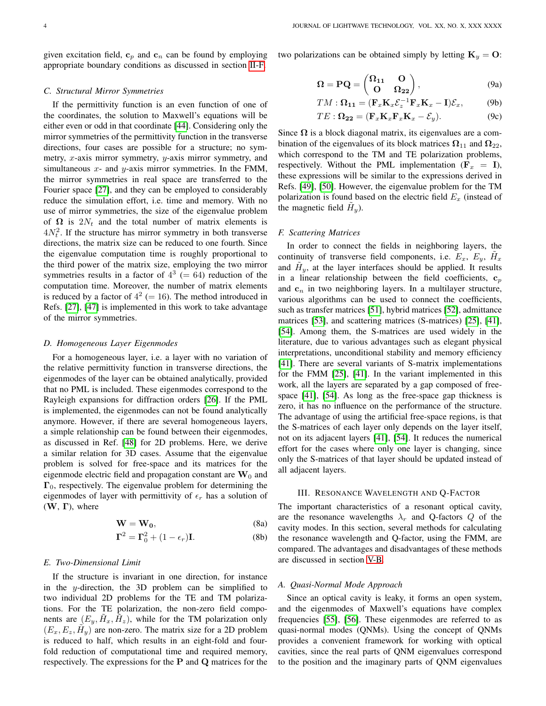given excitation field,  $c_p$  and  $c_n$  can be found by employing appropriate boundary conditions as discussed in section [II-F.](#page-3-0)

#### *C. Structural Mirror Symmetries*

If the permittivity function is an even function of one of the coordinates, the solution to Maxwell's equations will be either even or odd in that coordinate [\[44\]](#page-10-5). Considering only the mirror symmetries of the permittivity function in the transverse directions, four cases are possible for a structure; no symmetry,  $x$ -axis mirror symmetry,  $y$ -axis mirror symmetry, and simultaneous  $x$ - and  $y$ -axis mirror symmetries. In the FMM, the mirror symmetries in real space are transferred to the Fourier space [\[27\]](#page-9-26), and they can be employed to considerably reduce the simulation effort, i.e. time and memory. With no use of mirror symmetries, the size of the eigenvalue problem of  $\Omega$  is  $2N_t$  and the total number of matrix elements is  $4N_t^2$ . If the structure has mirror symmetry in both transverse directions, the matrix size can be reduced to one fourth. Since the eigenvalue computation time is roughly proportional to the third power of the matrix size, employing the two mirror symmetries results in a factor of  $4^3$  (= 64) reduction of the computation time. Moreover, the number of matrix elements is reduced by a factor of  $4^2$  (= 16). The method introduced in Refs. [\[27\]](#page-9-26), [\[47\]](#page-10-8) is implemented in this work to take advantage of the mirror symmetries.

# *D. Homogeneous Layer Eigenmodes*

For a homogeneous layer, i.e. a layer with no variation of the relative permittivity function in transverse directions, the eigenmodes of the layer can be obtained analytically, provided that no PML is included. These eigenmodes correspond to the Rayleigh expansions for diffraction orders [\[26\]](#page-9-25). If the PML is implemented, the eigenmodes can not be found analytically anymore. However, if there are several homogeneous layers, a simple relationship can be found between their eigenmodes, as discussed in Ref. [\[48\]](#page-10-9) for 2D problems. Here, we derive a similar relation for 3D cases. Assume that the eigenvalue problem is solved for free-space and its matrices for the eigenmode electric field and propagation constant are  $W_0$  and  $\Gamma_0$ , respectively. The eigenvalue problem for determining the eigenmodes of layer with permittivity of  $\epsilon_r$  has a solution of  $(W, \Gamma)$ , where

$$
\mathbf{W} = \mathbf{W_0},\tag{8a}
$$

$$
\Gamma^2 = \Gamma_0^2 + (1 - \epsilon_r) \mathbf{I}.
$$
 (8b)

## *E. Two-Dimensional Limit*

If the structure is invariant in one direction, for instance in the y-direction, the 3D problem can be simplified to two individual 2D problems for the TE and TM polarizations. For the TE polarization, the non-zero field components are  $(E_y, \tilde{H}_x, \tilde{H}_z)$ , while for the TM polarization only  $(E_x, E_z, \tilde{H}_y)$  are non-zero. The matrix size for a 2D problem is reduced to half, which results in an eight-fold and fourfold reduction of computational time and required memory, respectively. The expressions for the  $P$  and  $Q$  matrices for the two polarizations can be obtained simply by letting  $\mathbf{K}_y = \mathbf{O}$ :

$$
\Omega = PQ = \begin{pmatrix} \Omega_{11} & O \\ O & \Omega_{22} \end{pmatrix}, \tag{9a}
$$

$$
TM: \Omega_{11} = (\mathbf{F}_x \mathbf{K}_x \mathcal{E}_z^{-1} \mathbf{F}_x \mathbf{K}_x - \mathbf{I}) \mathcal{E}_x, \tag{9b}
$$

$$
TE: \Omega_{22} = (\mathbf{F}_x \mathbf{K}_x \mathbf{F}_x \mathbf{K}_x - \mathcal{E}_y).
$$
 (9c)

Since  $\Omega$  is a block diagonal matrix, its eigenvalues are a combination of the eigenvalues of its block matrices  $\Omega_{11}$  and  $\Omega_{22}$ , which correspond to the TM and TE polarization problems, respectively. Without the PML implementation ( $\mathbf{F}_x = \mathbf{I}$ ), these expressions will be similar to the expressions derived in Refs. [\[49\]](#page-10-10), [\[50\]](#page-10-11). However, the eigenvalue problem for the TM polarization is found based on the electric field  $E<sub>x</sub>$  (instead of the magnetic field  $\tilde{H}_y$ ).

#### <span id="page-3-0"></span>*F. Scattering Matrices*

In order to connect the fields in neighboring layers, the continuity of transverse field components, i.e.  $E_x$ ,  $E_y$ ,  $\tilde{H}_x$ and  $\tilde{H}_y$ , at the layer interfaces should be applied. It results in a linear relationship between the field coefficients,  $c_p$ and  $c_n$  in two neighboring layers. In a multilayer structure, various algorithms can be used to connect the coefficients, such as transfer matrices [\[51\]](#page-10-12), hybrid matrices [\[52\]](#page-10-13), admittance matrices [\[53\]](#page-10-14), and scattering matrices (S-matrices) [\[25\]](#page-9-24), [\[41\]](#page-10-2), [\[54\]](#page-10-15). Among them, the S-matrices are used widely in the literature, due to various advantages such as elegant physical interpretations, unconditional stability and memory efficiency [\[41\]](#page-10-2). There are several variants of S-matrix implementations for the FMM [\[25\]](#page-9-24), [\[41\]](#page-10-2). In the variant implemented in this work, all the layers are separated by a gap composed of freespace [\[41\]](#page-10-2), [\[54\]](#page-10-15). As long as the free-space gap thickness is zero, it has no influence on the performance of the structure. The advantage of using the artificial free-space regions, is that the S-matrices of each layer only depends on the layer itself, not on its adjacent layers [\[41\]](#page-10-2), [\[54\]](#page-10-15). It reduces the numerical effort for the cases where only one layer is changing, since only the S-matrices of that layer should be updated instead of all adjacent layers.

### III. RESONANCE WAVELENGTH AND Q-FACTOR

<span id="page-3-1"></span>The important characteristics of a resonant optical cavity, are the resonance wavelengths  $\lambda_r$  and Q-factors Q of the cavity modes. In this section, several methods for calculating the resonance wavelength and Q-factor, using the FMM, are compared. The advantages and disadvantages of these methods are discussed in section [V-B.](#page-6-0)

#### *A. Quasi-Normal Mode Approach*

Since an optical cavity is leaky, it forms an open system, and the eigenmodes of Maxwell's equations have complex frequencies [\[55\]](#page-10-16), [\[56\]](#page-10-17). These eigenmodes are referred to as quasi-normal modes (QNMs). Using the concept of QNMs provides a convenient framework for working with optical cavities, since the real parts of QNM eigenvalues correspond to the position and the imaginary parts of QNM eigenvalues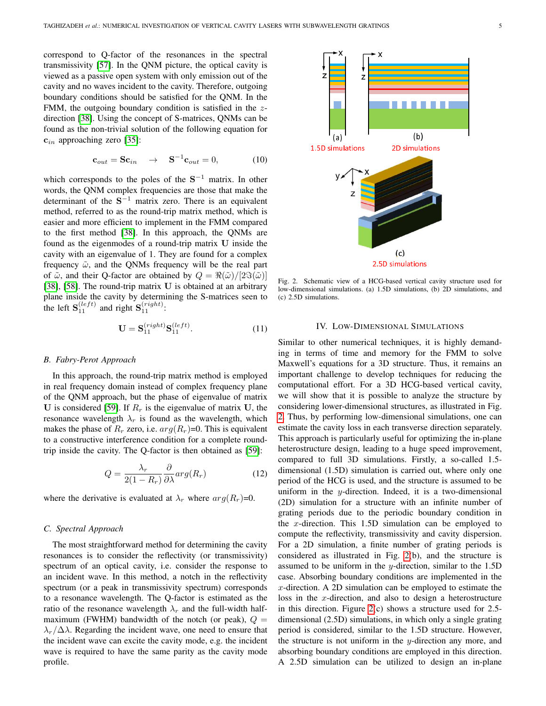correspond to Q-factor of the resonances in the spectral transmissivity [\[57\]](#page-10-18). In the QNM picture, the optical cavity is viewed as a passive open system with only emission out of the cavity and no waves incident to the cavity. Therefore, outgoing boundary conditions should be satisfied for the QNM. In the FMM, the outgoing boundary condition is satisfied in the zdirection [\[38\]](#page-9-35). Using the concept of S-matrices, QNMs can be found as the non-trivial solution of the following equation for  $c_{in}$  approaching zero [\[35\]](#page-9-33):

$$
\mathbf{c}_{out} = \mathbf{S} \mathbf{c}_{in} \quad \rightarrow \quad \mathbf{S}^{-1} \mathbf{c}_{out} = 0, \tag{10}
$$

which corresponds to the poles of the  $S^{-1}$  matrix. In other words, the QNM complex frequencies are those that make the determinant of the  $S^{-1}$  matrix zero. There is an equivalent method, referred to as the round-trip matrix method, which is easier and more efficient to implement in the FMM compared to the first method [\[38\]](#page-9-35). In this approach, the QNMs are found as the eigenmodes of a round-trip matrix U inside the cavity with an eigenvalue of 1. They are found for a complex frequency  $\tilde{\omega}$ , and the QNMs frequency will be the real part of  $\tilde{\omega}$ , and their Q-factor are obtained by  $Q = \Re(\tilde{\omega})/[2\Im(\tilde{\omega})]$ [\[38\]](#page-9-35), [\[58\]](#page-10-19). The round-trip matrix U is obtained at an arbitrary plane inside the cavity by determining the S-matrices seen to the left  $S_{11}^{(left)}$  and right  $S_{11}^{(right)}$ :

$$
\mathbf{U} = \mathbf{S}_{11}^{(right)} \mathbf{S}_{11}^{(left)}.
$$
 (11)

#### *B. Fabry-Perot Approach*

In this approach, the round-trip matrix method is employed in real frequency domain instead of complex frequency plane of the QNM approach, but the phase of eigenvalue of matrix U is considered [\[59\]](#page-10-20). If  $R_r$  is the eigenvalue of matrix U, the resonance wavelength  $\lambda_r$  is found as the wavelength, which makes the phase of  $R_r$  zero, i.e.  $arg(R_r)=0$ . This is equivalent to a constructive interference condition for a complete roundtrip inside the cavity. The Q-factor is then obtained as [\[59\]](#page-10-20):

$$
Q = \frac{\lambda_r}{2(1 - R_r)} \frac{\partial}{\partial \lambda} arg(R_r)
$$
 (12)

where the derivative is evaluated at  $\lambda_r$  where  $arg(R_r)=0$ .

# *C. Spectral Approach*

The most straightforward method for determining the cavity resonances is to consider the reflectivity (or transmissivity) spectrum of an optical cavity, i.e. consider the response to an incident wave. In this method, a notch in the reflectivity spectrum (or a peak in transmissivity spectrum) corresponds to a resonance wavelength. The Q-factor is estimated as the ratio of the resonance wavelength  $\lambda_r$  and the full-width halfmaximum (FWHM) bandwidth of the notch (or peak),  $Q =$  $\lambda_r/\Delta\lambda$ . Regarding the incident wave, one need to ensure that the incident wave can excite the cavity mode, e.g. the incident wave is required to have the same parity as the cavity mode profile.

<span id="page-4-0"></span>Fig. 2. Schematic view of a HCG-based vertical cavity structure used for low-dimensional simulations. (a) 1.5D simulations, (b) 2D simulations, and (c) 2.5D simulations.

## IV. LOW-DIMENSIONAL SIMULATIONS

Similar to other numerical techniques, it is highly demanding in terms of time and memory for the FMM to solve Maxwell's equations for a 3D structure. Thus, it remains an important challenge to develop techniques for reducing the computational effort. For a 3D HCG-based vertical cavity, we will show that it is possible to analyze the structure by considering lower-dimensional structures, as illustrated in Fig. [2.](#page-4-0) Thus, by performing low-dimensional simulations, one can estimate the cavity loss in each transverse direction separately. This approach is particularly useful for optimizing the in-plane heterostructure design, leading to a huge speed improvement, compared to full 3D simulations. Firstly, a so-called 1.5 dimensional (1.5D) simulation is carried out, where only one period of the HCG is used, and the structure is assumed to be uniform in the  $y$ -direction. Indeed, it is a two-dimensional (2D) simulation for a structure with an infinite number of grating periods due to the periodic boundary condition in the  $x$ -direction. This 1.5D simulation can be employed to compute the reflectivity, transmissivity and cavity dispersion. For a 2D simulation, a finite number of grating periods is considered as illustrated in Fig. [2\(](#page-4-0)b), and the structure is assumed to be uniform in the y-direction, similar to the 1.5D case. Absorbing boundary conditions are implemented in the x-direction. A 2D simulation can be employed to estimate the loss in the x-direction, and also to design a heterostructure in this direction. Figure [2\(](#page-4-0)c) shows a structure used for 2.5 dimensional (2.5D) simulations, in which only a single grating period is considered, similar to the 1.5D structure. However, the structure is not uniform in the  $y$ -direction any more, and absorbing boundary conditions are employed in this direction. A 2.5D simulation can be utilized to design an in-plane

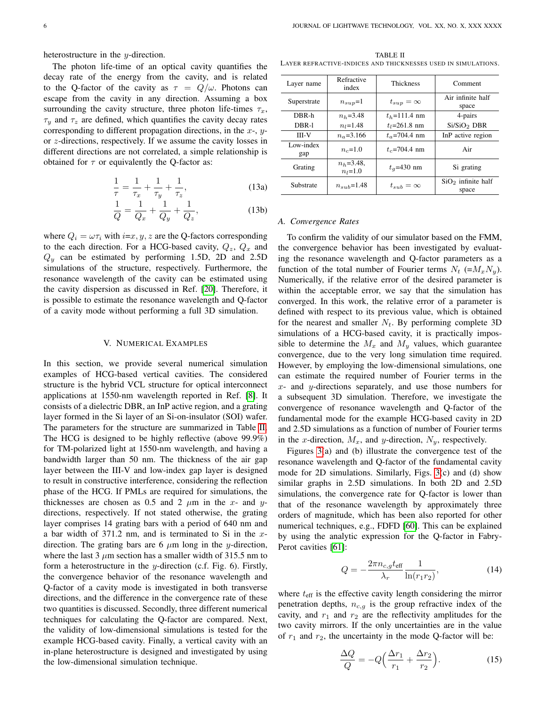heterostructure in the y-direction.

The photon life-time of an optical cavity quantifies the decay rate of the energy from the cavity, and is related to the Q-factor of the cavity as  $\tau = Q/\omega$ . Photons can escape from the cavity in any direction. Assuming a box surrounding the cavity structure, three photon life-times  $\tau_x$ ,  $\tau_u$  and  $\tau_z$  are defined, which quantifies the cavity decay rates corresponding to different propagation directions, in the  $x$ -,  $y$ or z-directions, respectively. If we assume the cavity losses in different directions are not correlated, a simple relationship is obtained for  $\tau$  or equivalently the Q-factor as:

$$
\frac{1}{\tau} = \frac{1}{\tau_x} + \frac{1}{\tau_y} + \frac{1}{\tau_z},
$$
\n(13a)

$$
\frac{1}{Q} = \frac{1}{Q_x} + \frac{1}{Q_y} + \frac{1}{Q_z},
$$
\n(13b)

where  $Q_i = \omega \tau_i$  with  $i=x, y, z$  are the Q-factors corresponding to the each direction. For a HCG-based cavity,  $Q_z$ ,  $Q_x$  and  $Q_y$  can be estimated by performing 1.5D, 2D and 2.5D simulations of the structure, respectively. Furthermore, the resonance wavelength of the cavity can be estimated using the cavity dispersion as discussed in Ref. [\[20\]](#page-9-19). Therefore, it is possible to estimate the resonance wavelength and Q-factor of a cavity mode without performing a full 3D simulation.

# V. NUMERICAL EXAMPLES

In this section, we provide several numerical simulation examples of HCG-based vertical cavities. The considered structure is the hybrid VCL structure for optical interconnect applications at 1550-nm wavelength reported in Ref. [\[8\]](#page-9-7). It consists of a dielectric DBR, an InP active region, and a grating layer formed in the Si layer of an Si-on-insulator (SOI) wafer. The parameters for the structure are summarized in Table [II.](#page-5-0) The HCG is designed to be highly reflective (above 99.9%) for TM-polarized light at 1550-nm wavelength, and having a bandwidth larger than 50 nm. The thickness of the air gap layer between the III-V and low-index gap layer is designed to result in constructive interference, considering the reflection phase of the HCG. If PMLs are required for simulations, the thicknesses are chosen as 0.5 and 2  $\mu$ m in the x- and ydirections, respectively. If not stated otherwise, the grating layer comprises 14 grating bars with a period of 640 nm and a bar width of  $371.2$  nm, and is terminated to Si in the xdirection. The grating bars are 6  $\mu$ m long in the y-direction, where the last 3  $\mu$ m section has a smaller width of 315.5 nm to form a heterostructure in the y-direction (c.f. Fig. 6). Firstly, the convergence behavior of the resonance wavelength and Q-factor of a cavity mode is investigated in both transverse directions, and the difference in the convergence rate of these two quantities is discussed. Secondly, three different numerical techniques for calculating the Q-factor are compared. Next, the validity of low-dimensional simulations is tested for the example HCG-based cavity. Finally, a vertical cavity with an in-plane heterostructure is designed and investigated by using the low-dimensional simulation technique.

<span id="page-5-0"></span>TABLE II LAYER REFRACTIVE-INDICES AND THICKNESSES USED IN SIMULATIONS.

| Layer name       | Refractive<br>index           | <b>Thickness</b>   | Comment                       |
|------------------|-------------------------------|--------------------|-------------------------------|
| Superstrate      | $n_{sub}=1$                   | $t_{sup} = \infty$ | Air infinite half<br>space    |
| DBR-h            | $n_h = 3.48$                  | $t_h$ =111.4 nm    | 4-pairs                       |
| DBR-1            | $n_1 = 1.48$                  | $t_1 = 261.8$ nm   | Si/SiO <sub>2</sub> DBR       |
| <b>III-V</b>     | $n_a = 3.166$                 | $t_a$ =704.4 nm    | InP active region             |
| Low-index<br>gap | $n_c = 1.0$                   | $t_c$ =704.4 nm    | Air                           |
| Grating          | $n_h = 3.48$ ,<br>$n_l = 1.0$ | $t_a = 430$ nm     | Si grating                    |
| Substrate        | $n_{sub}=1.48$                | $t_{sub} = \infty$ | $SiO2$ infinite half<br>space |

## <span id="page-5-1"></span>*A. Convergence Rates*

To confirm the validity of our simulator based on the FMM, the convergence behavior has been investigated by evaluating the resonance wavelength and Q-factor parameters as a function of the total number of Fourier terms  $N_t$  (= $M_xN_y$ ). Numerically, if the relative error of the desired parameter is within the acceptable error, we say that the simulation has converged. In this work, the relative error of a parameter is defined with respect to its previous value, which is obtained for the nearest and smaller  $N_t$ . By performing complete 3D simulations of a HCG-based cavity, it is practically impossible to determine the  $M_x$  and  $M_y$  values, which guarantee convergence, due to the very long simulation time required. However, by employing the low-dimensional simulations, one can estimate the required number of Fourier terms in the  $x$ - and  $y$ -directions separately, and use those numbers for a subsequent 3D simulation. Therefore, we investigate the convergence of resonance wavelength and Q-factor of the fundamental mode for the example HCG-based cavity in 2D and 2.5D simulations as a function of number of Fourier terms in the x-direction,  $M_x$ , and y-direction,  $N_y$ , respectively.

Figures [3\(](#page-6-1)a) and (b) illustrate the convergence test of the resonance wavelength and Q-factor of the fundamental cavity mode for 2D simulations. Similarly, Figs. [3\(](#page-6-1)c) and (d) show similar graphs in 2.5D simulations. In both 2D and 2.5D simulations, the convergence rate for Q-factor is lower than that of the resonance wavelength by approximately three orders of magnitude, which has been also reported for other numerical techniques, e.g., FDFD [\[60\]](#page-10-21). This can be explained by using the analytic expression for the Q-factor in Fabry-Perot cavities [\[61\]](#page-10-22):

$$
Q = -\frac{2\pi n_{c,g} t_{\text{eff}}}{\lambda_r} \frac{1}{\ln(r_1 r_2)},
$$
(14)

where  $t_{\text{eff}}$  is the effective cavity length considering the mirror penetration depths,  $n_{c,q}$  is the group refractive index of the cavity, and  $r_1$  and  $r_2$  are the reflectivity amplitudes for the two cavity mirrors. If the only uncertainties are in the value of  $r_1$  and  $r_2$ , the uncertainty in the mode Q-factor will be:

$$
\frac{\Delta Q}{Q} = -Q\left(\frac{\Delta r_1}{r_1} + \frac{\Delta r_2}{r_2}\right). \tag{15}
$$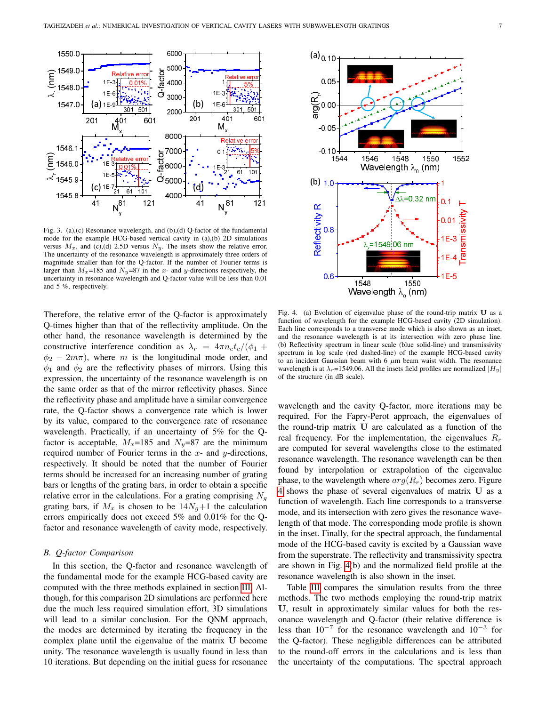

<span id="page-6-1"></span>Fig. 3. (a),(c) Resonance wavelength, and (b),(d) Q-factor of the fundamental mode for the example HCG-based vertical cavity in (a),(b) 2D simulations versus  $M_x$ , and (c),(d) 2.5D versus  $N_y$ . The insets show the relative error. The uncertainty of the resonance wavelength is approximately three orders of magnitude smaller than for the Q-factor. If the number of Fourier terms is larger than  $M_x=185$  and  $N_y=87$  in the x- and y-directions respectively, the uncertainty in resonance wavelength and Q-factor value will be less than 0.01 and 5 %, respectively.

Therefore, the relative error of the Q-factor is approximately Q-times higher than that of the reflectivity amplitude. On the other hand, the resonance wavelength is determined by the constructive interference condition as  $\lambda_r = 4\pi n_c t_c/(\phi_1 +$  $\phi_2 - 2m\pi$ , where m is the longitudinal mode order, and  $\phi_1$  and  $\phi_2$  are the reflectivity phases of mirrors. Using this expression, the uncertainty of the resonance wavelength is on the same order as that of the mirror reflectivity phases. Since the reflectivity phase and amplitude have a similar convergence rate, the Q-factor shows a convergence rate which is lower by its value, compared to the convergence rate of resonance wavelength. Practically, if an uncertainty of 5% for the Qfactor is acceptable,  $M_x=185$  and  $N_y=87$  are the minimum required number of Fourier terms in the  $x$ - and  $y$ -directions, respectively. It should be noted that the number of Fourier terms should be increased for an increasing number of grating bars or lengths of the grating bars, in order to obtain a specific relative error in the calculations. For a grating comprising  $N<sub>q</sub>$ grating bars, if  $M_x$  is chosen to be  $14N_g+1$  the calculation errors empirically does not exceed 5% and 0.01% for the Qfactor and resonance wavelength of cavity mode, respectively.

# <span id="page-6-0"></span>*B. Q-factor Comparison*

In this section, the Q-factor and resonance wavelength of the fundamental mode for the example HCG-based cavity are computed with the three methods explained in section [III.](#page-3-1) Although, for this comparison 2D simulations are performed here due the much less required simulation effort, 3D simulations will lead to a similar conclusion. For the QNM approach, the modes are determined by iterating the frequency in the complex plane until the eigenvalue of the matrix U become unity. The resonance wavelength is usually found in less than 10 iterations. But depending on the initial guess for resonance



<span id="page-6-2"></span>Fig. 4. (a) Evolution of eigenvalue phase of the round-trip matrix U as a function of wavelength for the example HCG-based cavity (2D simulation). Each line corresponds to a transverse mode which is also shown as an inset, and the resonance wavelength is at its intersection with zero phase line. (b) Reflectivity spectrum in linear scale (blue solid-line) and transmissivity spectrum in log scale (red dashed-line) of the example HCG-based cavity to an incident Gaussian beam with  $6 \mu m$  beam waist width. The resonance wavelength is at  $\lambda_r$ =1549.06. All the insets field profiles are normalized  $|H_y|$ of the structure (in dB scale).

wavelength and the cavity Q-factor, more iterations may be required. For the Fapry-Perot approach, the eigenvalues of the round-trip matrix U are calculated as a function of the real frequency. For the implementation, the eigenvalues  $R_r$ are computed for several wavelengths close to the estimated resonance wavelength. The resonance wavelength can be then found by interpolation or extrapolation of the eigenvalue phase, to the wavelength where  $arg(R_r)$  becomes zero. Figure [4](#page-6-2) shows the phase of several eigenvalues of matrix U as a function of wavelength. Each line corresponds to a transverse mode, and its intersection with zero gives the resonance wavelength of that mode. The corresponding mode profile is shown in the inset. Finally, for the spectral approach, the fundamental mode of the HCG-based cavity is excited by a Gaussian wave from the superstrate. The reflectivity and transmissivity spectra are shown in Fig. [4\(](#page-6-2)b) and the normalized field profile at the resonance wavelength is also shown in the inset.

Table [III](#page-7-0) compares the simulation results from the three methods. The two methods employing the round-trip matrix U, result in approximately similar values for both the resonance wavelength and Q-factor (their relative difference is less than  $10^{-7}$  for the resonance wavelength and  $10^{-3}$  for the Q-factor). These negligible differences can be attributed to the round-off errors in the calculations and is less than the uncertainty of the computations. The spectral approach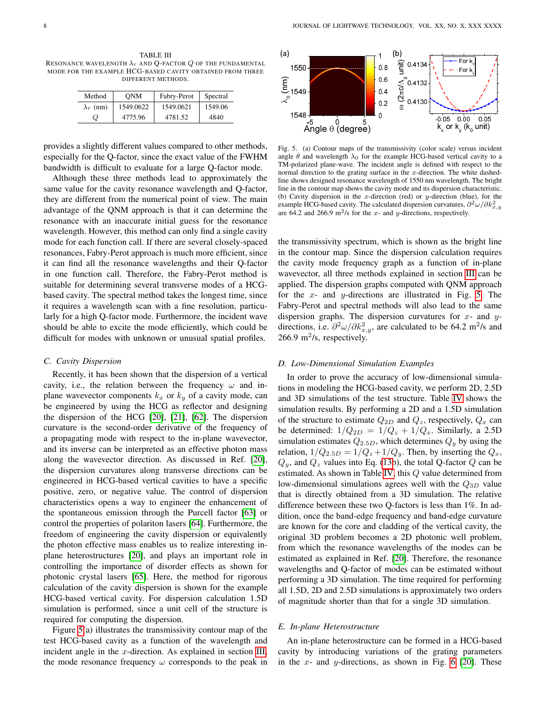<span id="page-7-0"></span>TABLE III RESONANCE WAVELENGTH  $\lambda_r$  and Q-FACTOR Q OF THE FUNDAMENTAL MODE FOR THE EXAMPLE HCG-BASED CAVITY OBTAINED FROM THREE DIFFERENT METHODS.

| Method           | <b>ONM</b> | Fabry-Perot | Spectral |
|------------------|------------|-------------|----------|
| $\lambda_r$ (nm) | 1549.0622  | 1549.0621   | 1549.06  |
| Q                | 4775.96    | 4781.52     | 4840     |

provides a slightly different values compared to other methods, especially for the Q-factor, since the exact value of the FWHM bandwidth is difficult to evaluate for a large Q-factor mode.

Although these three methods lead to approximately the same value for the cavity resonance wavelength and Q-factor, they are different from the numerical point of view. The main advantage of the QNM approach is that it can determine the resonance with an inaccurate initial guess for the resonance wavelength. However, this method can only find a single cavity mode for each function call. If there are several closely-spaced resonances, Fabry-Perot approach is much more efficient, since it can find all the resonance wavelengths and their Q-factor in one function call. Therefore, the Fabry-Perot method is suitable for determining several transverse modes of a HCGbased cavity. The spectral method takes the longest time, since it requires a wavelength scan with a fine resolution, particularly for a high Q-factor mode. Furthermore, the incident wave should be able to excite the mode efficiently, which could be difficult for modes with unknown or unusual spatial profiles.

## *C. Cavity Dispersion*

Recently, it has been shown that the dispersion of a vertical cavity, i.e., the relation between the frequency  $\omega$  and inplane wavevector components  $k_x$  or  $k_y$  of a cavity mode, can be engineered by using the HCG as reflector and designing the dispersion of the HCG [\[20\]](#page-9-19), [\[21\]](#page-9-20), [\[62\]](#page-10-23). The dispersion curvature is the second-order derivative of the frequency of a propagating mode with respect to the in-plane wavevector, and its inverse can be interpreted as an effective photon mass along the wavevector direction. As discussed in Ref. [\[20\]](#page-9-19), the dispersion curvatures along transverse directions can be engineered in HCG-based vertical cavities to have a specific positive, zero, or negative value. The control of dispersion characteristics opens a way to engineer the enhancement of the spontaneous emission through the Purcell factor [\[63\]](#page-10-24) or control the properties of polariton lasers [\[64\]](#page-10-25). Furthermore, the freedom of engineering the cavity dispersion or equivalently the photon effective mass enables us to realize interesting inplane heterostructures [\[20\]](#page-9-19), and plays an important role in controlling the importance of disorder effects as shown for photonic crystal lasers [\[65\]](#page-10-26). Here, the method for rigorous calculation of the cavity dispersion is shown for the example HCG-based vertical cavity. For dispersion calculation 1.5D simulation is performed, since a unit cell of the structure is required for computing the dispersion.

Figure [5\(](#page-7-1)a) illustrates the transmissivity contour map of the test HCG-based cavity as a function of the wavelength and incident angle in the  $x$ -direction. As explained in section [III,](#page-3-1) the mode resonance frequency  $\omega$  corresponds to the peak in



<span id="page-7-1"></span>Fig. 5. (a) Contour maps of the transmissivity (color scale) versus incident angle  $\theta$  and wavelength  $\lambda_0$  for the example HCG-based vertical cavity to a TM-polarized plane-wave. The incident angle is defined with respect to the normal direction to the grating surface in the x-direction. The white dashedline shows designed resonance wavelength of 1550 nm wavelength. The bright line in the contour map shows the cavity mode and its dispersion characteristic. (b) Cavity dispersion in the x-direction (red) or  $y$ -direction (blue), for the example HCG-based cavity. The calculated dispersion curvatures,  $\partial^2 \omega / \partial k_{x,y}^2$ are 64.2 and 266.9 m<sup>2</sup>/s for the x- and y-directions, respectively.

the transmissivity spectrum, which is shown as the bright line in the contour map. Since the dispersion calculation requires the cavity mode frequency graph as a function of in-plane wavevector, all three methods explained in section [III](#page-3-1) can be applied. The dispersion graphs computed with QNM approach for the  $x$ - and  $y$ -directions are illustrated in Fig. [5.](#page-7-1) The Fabry-Perot and spectral methods will also lead to the same dispersion graphs. The dispersion curvatures for  $x$ - and  $y$ directions, i.e.  $\partial^2 \omega / \partial k_{x,y}^2$ , are calculated to be 64.2 m<sup>2</sup>/s and  $266.9 \text{ m}^2$ /s, respectively.

# *D. Low-Dimensional Simulation Examples*

In order to prove the accuracy of low-dimensional simulations in modeling the HCG-based cavity, we perform 2D, 2.5D and 3D simulations of the test structure. Table [IV](#page-8-0) shows the simulation results. By performing a 2D and a 1.5D simulation of the structure to estimate  $Q_{2D}$  and  $Q_z$ , respectively,  $Q_x$  can be determined:  $1/Q_{2D} = 1/Q_z + 1/Q_x$ . Similarly, a 2.5D simulation estimates  $Q_{2.5D}$ , which determines  $Q_y$  by using the relation,  $1/Q_{2.5D} = 1/Q_z + 1/Q_y$ . Then, by inserting the  $Q_x$ ,  $Q_y$ , and  $Q_z$  values into Eq. [\(13b](#page-5-1)), the total Q-factor  $Q$  can be estimated. As shown in Table [IV,](#page-8-0) this Q value determined from low-dimensional simulations agrees well with the  $Q_{3D}$  value that is directly obtained from a 3D simulation. The relative difference between these two Q-factors is less than 1%. In addition, once the band-edge frequency and band-edge curvature are known for the core and cladding of the vertical cavity, the original 3D problem becomes a 2D photonic well problem, from which the resonance wavelengths of the modes can be estimated as explained in Ref. [\[20\]](#page-9-19). Therefore, the resonance wavelengths and Q-factor of modes can be estimated without performing a 3D simulation. The time required for performing all 1.5D, 2D and 2.5D simulations is approximately two orders of magnitude shorter than that for a single 3D simulation.

#### *E. In-plane Heterostructure*

An in-plane heterostructure can be formed in a HCG-based cavity by introducing variations of the grating parameters in the  $x$ - and  $y$ -directions, as shown in Fig. [6](#page-8-1) [\[20\]](#page-9-19). These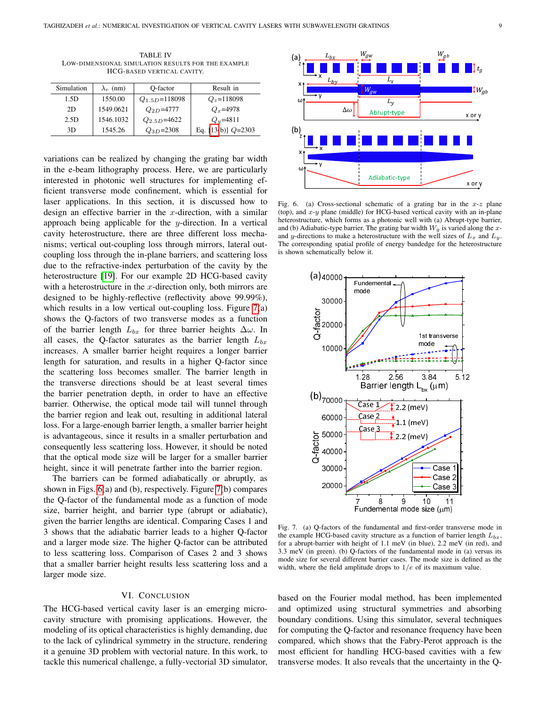<span id="page-8-0"></span>TABLE IV LOW-DIMENSIONAL SIMULATION RESULTS FOR THE EXAMPLE HCG-BASED VERTICAL CAVITY.

| Simulation | $\lambda_r$ (nm) | O-factor            | Result in            |
|------------|------------------|---------------------|----------------------|
| 1.5D       | 1550.00          | $Q_{1.5D} = 118098$ | $Q_z = 118098$       |
| 2D         | 1549.0621        | $Q_{2D} = 4777$     | $Q_r = 4978$         |
| 2.5D       | 1546.1032        | $Q_{2.5D}$ =4622    | $Q_y = 4811$         |
| 3D         | 1545.26          | $Q_{3D} = 2308$     | Eq. $[13(b)]$ Q=2303 |

variations can be realized by changing the grating bar width in the e-beam lithography process. Here, we are particularly interested in photonic well structures for implementing efficient transverse mode confinement, which is essential for laser applications. In this section, it is discussed how to design an effective barrier in the  $x$ -direction, with a similar approach being applicable for the y-direction. In a vertical cavity heterostructure, there are three different loss mechanisms; vertical out-coupling loss through mirrors, lateral outcoupling loss through the in-plane barriers, and scattering loss due to the refractive-index perturbation of the cavity by the heterostructure [\[19\]](#page-9-18). For our example 2D HCG-based cavity with a heterostructure in the x-direction only, both mirrors are designed to be highly-reflective (reflectivity above 99.99%), which results in a low vertical out-coupling loss. Figure [7\(](#page-8-2)a) shows the Q-factors of two transverse modes as a function of the barrier length  $L_{bx}$  for three barrier heights  $\Delta\omega$ . In all cases, the Q-factor saturates as the barrier length  $L_{bx}$ increases. A smaller barrier height requires a longer barrier length for saturation, and results in a higher Q-factor since the scattering loss becomes smaller. The barrier length in the transverse directions should be at least several times the barrier penetration depth, in order to have an effective barrier. Otherwise, the optical mode tail will tunnel through the barrier region and leak out, resulting in additional lateral loss. For a large-enough barrier length, a smaller barrier height is advantageous, since it results in a smaller perturbation and consequently less scattering loss. However, it should be noted that the optical mode size will be larger for a smaller barrier height, since it will penetrate farther into the barrier region.

The barriers can be formed adiabatically or abruptly, as shown in Figs. [6\(](#page-8-1)a) and (b), respectively. Figure [7\(](#page-8-2)b) compares the Q-factor of the fundamental mode as a function of mode size, barrier height, and barrier type (abrupt or adiabatic), given the barrier lengths are identical. Comparing Cases 1 and 3 shows that the adiabatic barrier leads to a higher Q-factor and a larger mode size. The higher Q-factor can be attributed to less scattering loss. Comparison of Cases 2 and 3 shows that a smaller barrier height results less scattering loss and a larger mode size.

## VI. CONCLUSION

The HCG-based vertical cavity laser is an emerging microcavity structure with promising applications. However, the modeling of its optical characteristics is highly demanding, due to the lack of cylindrical symmetry in the structure, rendering it a genuine 3D problem with vectorial nature. In this work, to tackle this numerical challenge, a fully-vectorial 3D simulator,



<span id="page-8-1"></span>Fig. 6. (a) Cross-sectional schematic of a grating bar in the  $x-z$  plane (top), and  $x-y$  plane (middle) for HCG-based vertical cavity with an in-plane heterostructure, which forms as a photonic well with (a) Abrupt-type barrier, and (b) Adiabatic-type barrier. The grating bar width  $W<sub>q</sub>$  is varied along the xand y-directions to make a heterostructure with the well sizes of  $L_x$  and  $L_y$ . The corresponding spatial profile of energy bandedge for the heterostructure is shown schematically below it.



<span id="page-8-2"></span>Fig. 7. (a) Q-factors of the fundamental and first-order transverse mode in the example HCG-based cavity structure as a function of barrier length  $L_{bx}$ , for a abrupt-barrier with height of 1.1 meV (in blue), 2.2 meV (in red), and 3.3 meV (in green). (b) Q-factors of the fundamental mode in (a) versus its mode size for several different barrier cases. The mode size is defined as the width, where the field amplitude drops to  $1/e$  of its maximum value.

based on the Fourier modal method, has been implemented and optimized using structural symmetries and absorbing boundary conditions. Using this simulator, several techniques for computing the Q-factor and resonance frequency have been compared, which shows that the Fabry-Perot approach is the most efficient for handling HCG-based cavities with a few transverse modes. It also reveals that the uncertainty in the Q-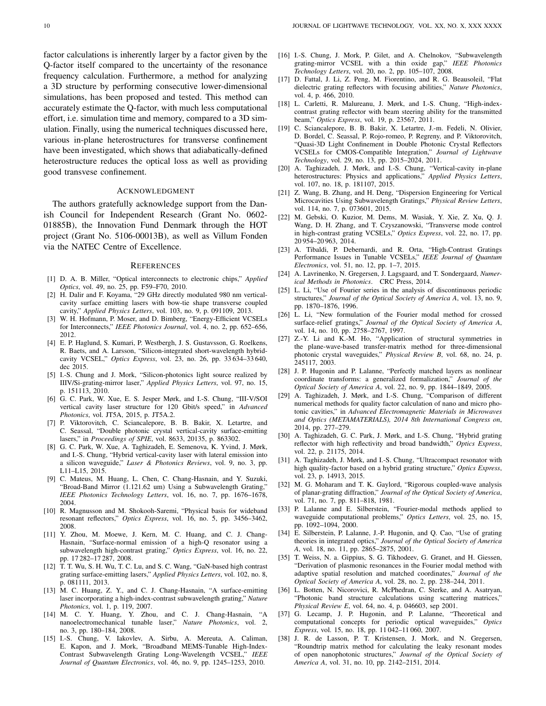factor calculations is inherently larger by a factor given by the Q-factor itself compared to the uncertainty of the resonance frequency calculation. Furthermore, a method for analyzing a 3D structure by performing consecutive lower-dimensional simulations, has been proposed and tested. This method can accurately estimate the Q-factor, with much less computational effort, i.e. simulation time and memory, compared to a 3D simulation. Finally, using the numerical techniques discussed here, various in-plane heterostructures for transverse confinement have been investigated, which shows that adiabatically-defined heterostructure reduces the optical loss as well as providing good transvese confinement.

# ACKNOWLEDGMENT

The authors gratefully acknowledge support from the Danish Council for Independent Research (Grant No. 0602- 01885B), the Innovation Fund Denmark through the HOT project (Grant No. 5106-00013B), as well as Villum Fonden via the NATEC Centre of Excellence.

#### **REFERENCES**

- <span id="page-9-0"></span>[1] D. A. B. Miller, "Optical interconnects to electronic chips," *Applied Optics*, vol. 49, no. 25, pp. F59–F70, 2010.
- <span id="page-9-1"></span>[2] H. Dalir and F. Koyama, "29 GHz directly modulated 980 nm verticalcavity surface emitting lasers with bow-tie shape transverse coupled cavity," *Applied Physics Letters*, vol. 103, no. 9, p. 091109, 2013.
- <span id="page-9-2"></span>[3] W. H. Hofmann, P. Moser, and D. Bimberg, "Energy-Efficient VCSELs for Interconnects," *IEEE Photonics Journal*, vol. 4, no. 2, pp. 652–656, 2012.
- <span id="page-9-3"></span>[4] E. P. Haglund, S. Kumari, P. Westbergh, J. S. Gustavsson, G. Roelkens, R. Baets, and A. Larsson, "Silicon-integrated short-wavelength hybridcavity VCSEL," *Optics Express*, vol. 23, no. 26, pp. 33 634–33 640, dec 2015.
- <span id="page-9-4"></span>[5] I.-S. Chung and J. Mork, "Silicon-photonics light source realized by IIIV/Si-grating-mirror laser," *Applied Physics Letters*, vol. 97, no. 15, p. 151113, 2010.
- <span id="page-9-5"></span>[6] G. C. Park, W. Xue, E. S. Jesper Mørk, and I.-S. Chung, "III-V/SOI vertical cavity laser structure for 120 Gbit/s speed," in *Advanced Photonics*, vol. JT5A, 2015, p. JT5A.2.
- <span id="page-9-6"></span>[7] P. Viktorovitch, C. Sciancalepore, B. B. Bakir, X. Letartre, and C. Seassal, "Double photonic crystal vertical-cavity surface-emitting lasers," in *Proceedings of SPIE*, vol. 8633, 20135, p. 863302.
- <span id="page-9-7"></span>[8] G. C. Park, W. Xue, A. Taghizadeh, E. Semenova, K. Yvind, J. Mørk, and I.-S. Chung, "Hybrid vertical-cavity laser with lateral emission into a silicon waveguide," *Laser & Photonics Reviews*, vol. 9, no. 3, pp. L11–L15, 2015.
- <span id="page-9-8"></span>[9] C. Mateus, M. Huang, L. Chen, C. Chang-Hasnain, and Y. Suzuki, "Broad-Band Mirror (1.121.62 um) Using a Subwavelength Grating," *IEEE Photonics Technology Letters*, vol. 16, no. 7, pp. 1676–1678, 2004.
- <span id="page-9-9"></span>[10] R. Magnusson and M. Shokooh-Saremi, "Physical basis for wideband resonant reflectors," *Optics Express*, vol. 16, no. 5, pp. 3456–3462, 2008.
- <span id="page-9-10"></span>[11] Y. Zhou, M. Moewe, J. Kern, M. C. Huang, and C. J. Chang-Hasnain, "Surface-normal emission of a high-Q resonator using a subwavelength high-contrast grating," *Optics Express*, vol. 16, no. 22, pp. 17 282–17 287, 2008.
- <span id="page-9-11"></span>[12] T. T. Wu, S. H. Wu, T. C. Lu, and S. C. Wang, "GaN-based high contrast grating surface-emitting lasers," *Applied Physics Letters*, vol. 102, no. 8, p. 081111, 2013.
- <span id="page-9-12"></span>[13] M. C. Huang, Z. Y., and C. J. Chang-Hasnain, "A surface-emitting laser incorporating a high-index-contrast subwavelength grating," *Nature Photonics*, vol. 1, p. 119, 2007.
- <span id="page-9-13"></span>[14] M. C. Y. Huang, Y. Zhou, and C. J. Chang-Hasnain, "A nanoelectromechanical tunable laser," *Nature Photonics*, vol. 2, no. 3, pp. 180–184, 2008.
- <span id="page-9-14"></span>[15] I.-S. Chung, V. Iakovlev, A. Sirbu, A. Mereuta, A. Caliman, E. Kapon, and J. Mork, "Broadband MEMS-Tunable High-Index-Contrast Subwavelength Grating Long-Wavelength VCSEL," *IEEE Journal of Quantum Electronics*, vol. 46, no. 9, pp. 1245–1253, 2010.
- <span id="page-9-15"></span>[16] I.-S. Chung, J. Mork, P. Gilet, and A. Chelnokov, "Subwavelength grating-mirror VCSEL with a thin oxide gap," *IEEE Photonics Technology Letters*, vol. 20, no. 2, pp. 105–107, 2008.
- <span id="page-9-16"></span>[17] D. Fattal, J. Li, Z. Peng, M. Fiorentino, and R. G. Beausoleil, "Flat dielectric grating reflectors with focusing abilities," *Nature Photonics*, vol. 4, p. 466, 2010.
- <span id="page-9-17"></span>[18] L. Carletti, R. Malureanu, J. Mørk, and I.-S. Chung, "High-indexcontrast grating reflector with beam steering ability for the transmitted beam," *Optics Express*, vol. 19, p. 23567, 2011.
- <span id="page-9-18"></span>[19] C. Sciancalepore, B. B. Bakir, X. Letartre, J.-m. Fedeli, N. Olivier, D. Bordel, C. Seassal, P. Rojo-romeo, P. Regreny, and P. Viktorovitch, "Quasi-3D Light Confinement in Double Photonic Crystal Reflectors VCSELs for CMOS-Compatible Integration," *Journal of Lightwave Technology*, vol. 29, no. 13, pp. 2015–2024, 2011.
- <span id="page-9-19"></span>[20] A. Taghizadeh, J. Mørk, and I.-S. Chung, "Vertical-cavity in-plane heterostructures: Physics and applications," *Applied Physics Letters*, vol. 107, no. 18, p. 181107, 2015.
- <span id="page-9-20"></span>[21] Z. Wang, B. Zhang, and H. Deng, "Dispersion Engineering for Vertical Microcavities Using Subwavelength Gratings," *Physical Review Letters*, vol. 114, no. 7, p. 073601, 2015.
- <span id="page-9-21"></span>[22] M. Gebski, O. Kuzior, M. Dems, M. Wasiak, Y. Xie, Z. Xu, Q. J. Wang, D. H. Zhang, and T. Czyszanowski, "Transverse mode control in high-contrast grating VCSELs," *Optics Express*, vol. 22, no. 17, pp. 20 954–20 963, 2014.
- <span id="page-9-22"></span>[23] A. Tibaldi, P. Debernardi, and R. Orta, "High-Contrast Gratings Performance Issues in Tunable VCSELs," *IEEE Journal of Quantum Electronics*, vol. 51, no. 12, pp. 1–7, 2015.
- <span id="page-9-23"></span>[24] A. Lavrinenko, N. Gregersen, J. Lagsgaard, and T. Sondergaard, *Numerical Methods in Photonics*. CRC Press, 2014.
- <span id="page-9-24"></span>[25] L. Li, "Use of Fourier series in the analysis of discontinuous periodic structures," *Journal of the Optical Society of America A*, vol. 13, no. 9, pp. 1870–1876, 1996.
- <span id="page-9-25"></span>[26] L. Li, "New formulation of the Fourier modal method for crossed surface-relief gratings," *Journal of the Optical Society of America A*, vol. 14, no. 10, pp. 2758–2767, 1997.
- <span id="page-9-26"></span>[27] Z.-Y. Li and K.-M. Ho, "Application of structural symmetries in the plane-wave-based transfer-matrix method for three-dimensional photonic crystal waveguides," *Physical Review B*, vol. 68, no. 24, p. 245117, 2003.
- <span id="page-9-27"></span>[28] J. P. Hugonin and P. Lalanne, "Perfectly matched layers as nonlinear coordinate transforms: a generalized formalization," *Journal of the Optical Society of America A*, vol. 22, no. 9, pp. 1844–1849, 2005.
- <span id="page-9-28"></span>[29] A. Taghizadeh, J. Mørk, and I.-S. Chung, "Comparison of different numerical methods for quality factor calculation of nano and micro photonic cavities," in *Advanced Electromagnetic Materials in Microwaves and Optics (METAMATERIALS), 2014 8th International Congress on*, 2014, pp. 277–279.
- [30] A. Taghizadeh, G. C. Park, J. Mørk, and I.-S. Chung, "Hybrid grating reflector with high reflectivity and broad bandwidth," *Optics Express*, vol. 22, p. 21175, 2014.
- <span id="page-9-29"></span>[31] A. Taghizadeh, J. Mørk, and I.-S. Chung, "Ultracompact resonator with high quality-factor based on a hybrid grating structure," *Optics Express*, vol. 23, p. 14913, 2015.
- <span id="page-9-30"></span>[32] M. G. Moharam and T. K. Gaylord, "Rigorous coupled-wave analysis of planar-grating diffraction," *Journal of the Optical Society of America*, vol. 71, no. 7, pp. 811–818, 1981.
- <span id="page-9-31"></span>[33] P. Lalanne and E. Silberstein, "Fourier-modal methods applied to waveguide computational problems," *Optics Letters*, vol. 25, no. 15, pp. 1092–1094, 2000.
- <span id="page-9-32"></span>[34] E. Silberstein, P. Lalanne, J.-P. Hugonin, and Q. Cao, "Use of grating theories in integrated optics," *Journal of the Optical Society of America A*, vol. 18, no. 11, pp. 2865–2875, 2001.
- <span id="page-9-33"></span>[35] T. Weiss, N. a. Gippius, S. G. Tikhodeev, G. Granet, and H. Giessen, "Derivation of plasmonic resonances in the Fourier modal method with adaptive spatial resolution and matched coordinates," *Journal of the Optical Society of America A*, vol. 28, no. 2, pp. 238–244, 2011.
- <span id="page-9-34"></span>[36] L. Botten, N. Nicorovici, R. McPhedran, C. Sterke, and A. Asatryan, "Photonic band structure calculations using scattering matrices," *Physical Review E*, vol. 64, no. 4, p. 046603, sep 2001.
- [37] G. Lecamp, J. P. Hugonin, and P. Lalanne, "Theoretical and computational concepts for periodic optical waveguides," *Optics Express*, vol. 15, no. 18, pp. 11 042–11 060, 2007.
- <span id="page-9-35"></span>[38] J. R. de Lasson, P. T. Kristensen, J. Mork, and N. Gregersen, "Roundtrip matrix method for calculating the leaky resonant modes of open nanophotonic structures," *Journal of the Optical Society of America A*, vol. 31, no. 10, pp. 2142–2151, 2014.